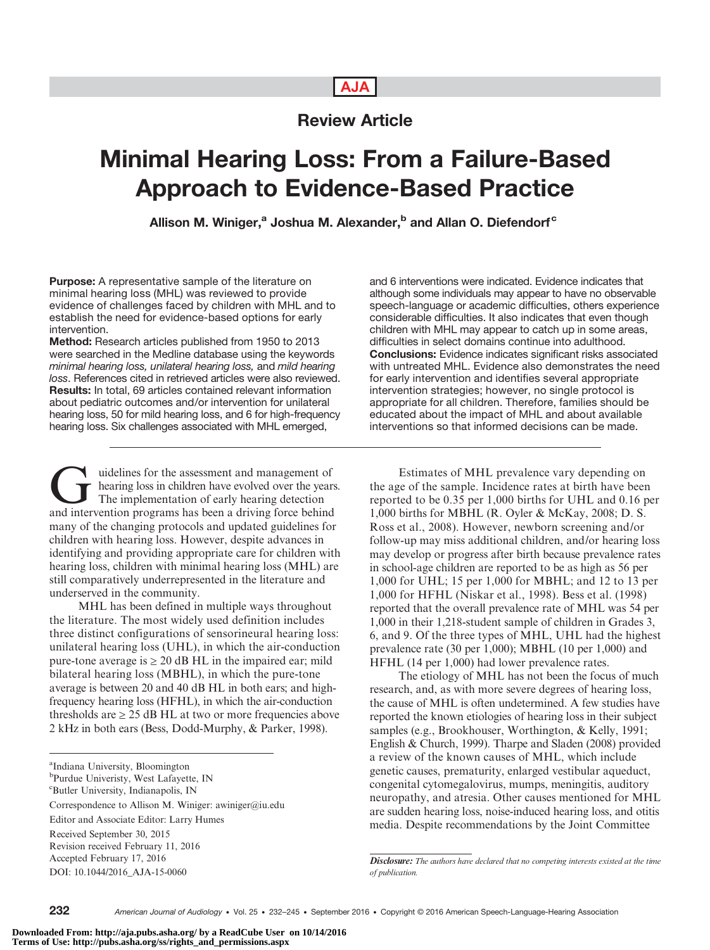# AJA

# Review Article

# Minimal Hearing Loss: From a Failure-Based Approach to Evidence-Based Practice

Allison M. Winiger,<sup>a</sup> Joshua M. Alexander,<sup>b</sup> and Allan O. Diefendorf<sup>c</sup>

**Purpose:** A representative sample of the literature on minimal hearing loss (MHL) was reviewed to provide evidence of challenges faced by children with MHL and to establish the need for evidence-based options for early intervention.

Method: Research articles published from 1950 to 2013 were searched in the Medline database using the keywords minimal hearing loss, unilateral hearing loss, and mild hearing loss. References cited in retrieved articles were also reviewed. Results: In total, 69 articles contained relevant information about pediatric outcomes and/or intervention for unilateral hearing loss, 50 for mild hearing loss, and 6 for high-frequency hearing loss. Six challenges associated with MHL emerged,

In undelines for the assessment and management of<br>the implementation of early hearing detection<br>and intervention programs has been a driving force behind hearing loss in children have evolved over the years. The implementation of early hearing detection and intervention programs has been a driving force behind many of the changing protocols and updated guidelines for children with hearing loss. However, despite advances in identifying and providing appropriate care for children with hearing loss, children with minimal hearing loss (MHL) are still comparatively underrepresented in the literature and underserved in the community.

MHL has been defined in multiple ways throughout the literature. The most widely used definition includes three distinct configurations of sensorineural hearing loss: unilateral hearing loss (UHL), in which the air-conduction pure-tone average is  $\geq 20$  dB HL in the impaired ear; mild bilateral hearing loss (MBHL), in which the pure-tone average is between 20 and 40 dB HL in both ears; and highfrequency hearing loss (HFHL), in which the air-conduction thresholds are  $\geq$  25 dB HL at two or more frequencies above 2 kHz in both ears (Bess, Dodd-Murphy, & Parker, 1998).

Revision received February 11, 2016

Accepted February 17, 2016 DOI: 10.1044/2016\_AJA-15-0060 and 6 interventions were indicated. Evidence indicates that although some individuals may appear to have no observable speech-language or academic difficulties, others experience considerable difficulties. It also indicates that even though children with MHL may appear to catch up in some areas, difficulties in select domains continue into adulthood. Conclusions: Evidence indicates significant risks associated with untreated MHL. Evidence also demonstrates the need for early intervention and identifies several appropriate intervention strategies; however, no single protocol is appropriate for all children. Therefore, families should be educated about the impact of MHL and about available interventions so that informed decisions can be made.

Estimates of MHL prevalence vary depending on the age of the sample. Incidence rates at birth have been reported to be 0.35 per 1,000 births for UHL and 0.16 per 1,000 births for MBHL (R. Oyler & McKay, 2008; D. S. Ross et al., 2008). However, newborn screening and/or follow-up may miss additional children, and/or hearing loss may develop or progress after birth because prevalence rates in school-age children are reported to be as high as 56 per 1,000 for UHL; 15 per 1,000 for MBHL; and 12 to 13 per 1,000 for HFHL (Niskar et al., 1998). Bess et al. (1998) reported that the overall prevalence rate of MHL was 54 per 1,000 in their 1,218-student sample of children in Grades 3, 6, and 9. Of the three types of MHL, UHL had the highest prevalence rate (30 per 1,000); MBHL (10 per 1,000) and HFHL (14 per 1,000) had lower prevalence rates.

The etiology of MHL has not been the focus of much research, and, as with more severe degrees of hearing loss, the cause of MHL is often undetermined. A few studies have reported the known etiologies of hearing loss in their subject samples (e.g., Brookhouser, Worthington, & Kelly, 1991; English & Church, 1999). Tharpe and Sladen (2008) provided a review of the known causes of MHL, which include genetic causes, prematurity, enlarged vestibular aqueduct, congenital cytomegalovirus, mumps, meningitis, auditory neuropathy, and atresia. Other causes mentioned for MHL are sudden hearing loss, noise-induced hearing loss, and otitis media. Despite recommendations by the Joint Committee

a Indiana University, Bloomington

<sup>&</sup>lt;sup>b</sup>Purdue Univeristy, West Lafayette, IN

c Butler University, Indianapolis, IN

Correspondence to Allison M. Winiger: awiniger@iu.edu

Editor and Associate Editor: Larry Humes

Received September 30, 2015

**Disclosure:** The authors have declared that no competing interests existed at the time of publication.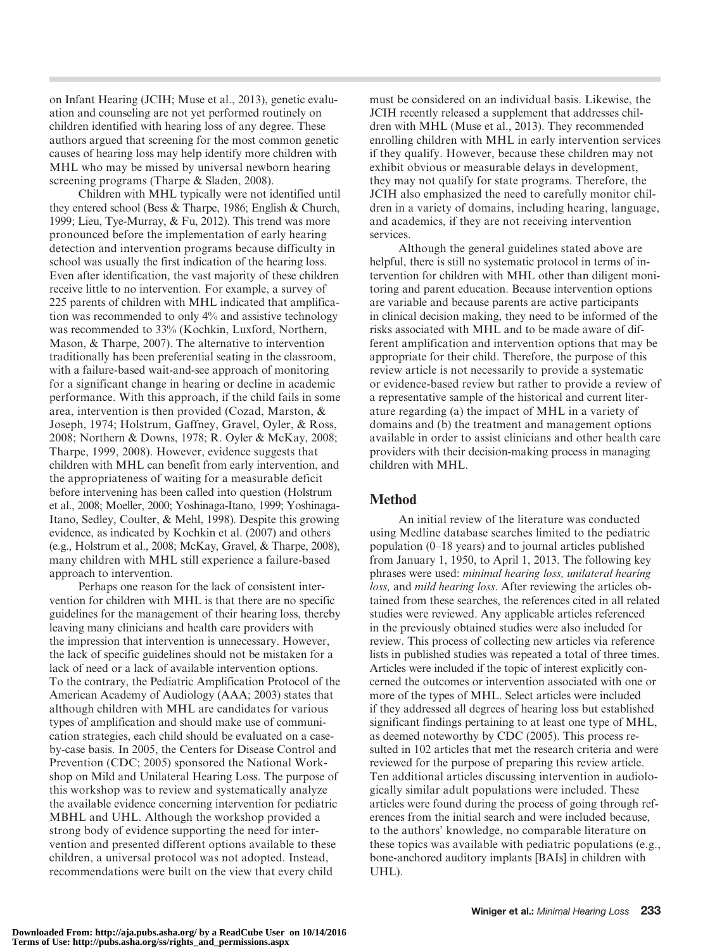on Infant Hearing (JCIH; Muse et al., 2013), genetic evaluation and counseling are not yet performed routinely on children identified with hearing loss of any degree. These authors argued that screening for the most common genetic causes of hearing loss may help identify more children with MHL who may be missed by universal newborn hearing screening programs (Tharpe & Sladen, 2008).

Children with MHL typically were not identified until they entered school (Bess & Tharpe, 1986; English & Church, 1999; Lieu, Tye-Murray, & Fu, 2012). This trend was more pronounced before the implementation of early hearing detection and intervention programs because difficulty in school was usually the first indication of the hearing loss. Even after identification, the vast majority of these children receive little to no intervention. For example, a survey of 225 parents of children with MHL indicated that amplification was recommended to only 4% and assistive technology was recommended to 33% (Kochkin, Luxford, Northern, Mason, & Tharpe, 2007). The alternative to intervention traditionally has been preferential seating in the classroom, with a failure-based wait-and-see approach of monitoring for a significant change in hearing or decline in academic performance. With this approach, if the child fails in some area, intervention is then provided (Cozad, Marston, & Joseph, 1974; Holstrum, Gaffney, Gravel, Oyler, & Ross, 2008; Northern & Downs, 1978; R. Oyler & McKay, 2008; Tharpe, 1999, 2008). However, evidence suggests that children with MHL can benefit from early intervention, and the appropriateness of waiting for a measurable deficit before intervening has been called into question (Holstrum et al., 2008; Moeller, 2000; Yoshinaga-Itano, 1999; Yoshinaga-Itano, Sedley, Coulter, & Mehl, 1998). Despite this growing evidence, as indicated by Kochkin et al. (2007) and others (e.g., Holstrum et al., 2008; McKay, Gravel, & Tharpe, 2008), many children with MHL still experience a failure-based approach to intervention.

Perhaps one reason for the lack of consistent intervention for children with MHL is that there are no specific guidelines for the management of their hearing loss, thereby leaving many clinicians and health care providers with the impression that intervention is unnecessary. However, the lack of specific guidelines should not be mistaken for a lack of need or a lack of available intervention options. To the contrary, the Pediatric Amplification Protocol of the American Academy of Audiology (AAA; 2003) states that although children with MHL are candidates for various types of amplification and should make use of communication strategies, each child should be evaluated on a caseby-case basis. In 2005, the Centers for Disease Control and Prevention (CDC; 2005) sponsored the National Workshop on Mild and Unilateral Hearing Loss. The purpose of this workshop was to review and systematically analyze the available evidence concerning intervention for pediatric MBHL and UHL. Although the workshop provided a strong body of evidence supporting the need for intervention and presented different options available to these children, a universal protocol was not adopted. Instead, recommendations were built on the view that every child

must be considered on an individual basis. Likewise, the JCIH recently released a supplement that addresses children with MHL (Muse et al., 2013). They recommended enrolling children with MHL in early intervention services if they qualify. However, because these children may not exhibit obvious or measurable delays in development, they may not qualify for state programs. Therefore, the JCIH also emphasized the need to carefully monitor children in a variety of domains, including hearing, language, and academics, if they are not receiving intervention services.

Although the general guidelines stated above are helpful, there is still no systematic protocol in terms of intervention for children with MHL other than diligent monitoring and parent education. Because intervention options are variable and because parents are active participants in clinical decision making, they need to be informed of the risks associated with MHL and to be made aware of different amplification and intervention options that may be appropriate for their child. Therefore, the purpose of this review article is not necessarily to provide a systematic or evidence-based review but rather to provide a review of a representative sample of the historical and current literature regarding (a) the impact of MHL in a variety of domains and (b) the treatment and management options available in order to assist clinicians and other health care providers with their decision-making process in managing children with MHL.

# Method

An initial review of the literature was conducted using Medline database searches limited to the pediatric population (0–18 years) and to journal articles published from January 1, 1950, to April 1, 2013. The following key phrases were used: minimal hearing loss, unilateral hearing loss, and mild hearing loss. After reviewing the articles obtained from these searches, the references cited in all related studies were reviewed. Any applicable articles referenced in the previously obtained studies were also included for review. This process of collecting new articles via reference lists in published studies was repeated a total of three times. Articles were included if the topic of interest explicitly concerned the outcomes or intervention associated with one or more of the types of MHL. Select articles were included if they addressed all degrees of hearing loss but established significant findings pertaining to at least one type of MHL, as deemed noteworthy by CDC (2005). This process resulted in 102 articles that met the research criteria and were reviewed for the purpose of preparing this review article. Ten additional articles discussing intervention in audiologically similar adult populations were included. These articles were found during the process of going through references from the initial search and were included because, to the authors' knowledge, no comparable literature on these topics was available with pediatric populations (e.g., bone-anchored auditory implants [BAIs] in children with UHL).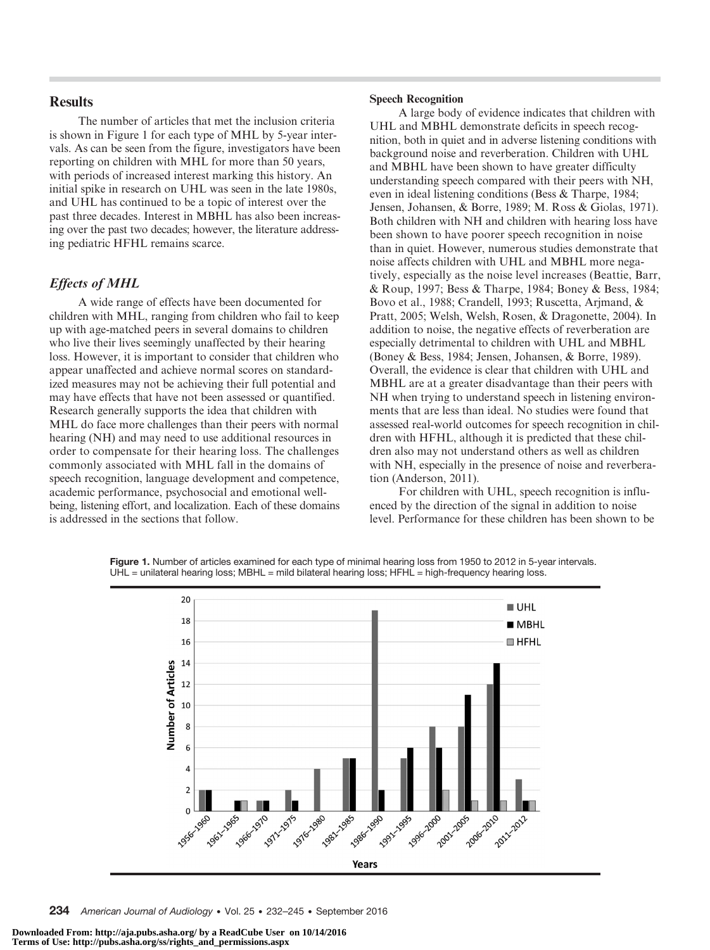# **Results**

The number of articles that met the inclusion criteria is shown in Figure 1 for each type of MHL by 5-year intervals. As can be seen from the figure, investigators have been reporting on children with MHL for more than 50 years, with periods of increased interest marking this history. An initial spike in research on UHL was seen in the late 1980s, and UHL has continued to be a topic of interest over the past three decades. Interest in MBHL has also been increasing over the past two decades; however, the literature addressing pediatric HFHL remains scarce.

# Effects of MHL

A wide range of effects have been documented for children with MHL, ranging from children who fail to keep up with age-matched peers in several domains to children who live their lives seemingly unaffected by their hearing loss. However, it is important to consider that children who appear unaffected and achieve normal scores on standardized measures may not be achieving their full potential and may have effects that have not been assessed or quantified. Research generally supports the idea that children with MHL do face more challenges than their peers with normal hearing (NH) and may need to use additional resources in order to compensate for their hearing loss. The challenges commonly associated with MHL fall in the domains of speech recognition, language development and competence, academic performance, psychosocial and emotional wellbeing, listening effort, and localization. Each of these domains is addressed in the sections that follow.

#### Speech Recognition

A large body of evidence indicates that children with UHL and MBHL demonstrate deficits in speech recognition, both in quiet and in adverse listening conditions with background noise and reverberation. Children with UHL and MBHL have been shown to have greater difficulty understanding speech compared with their peers with NH, even in ideal listening conditions (Bess & Tharpe, 1984; Jensen, Johansen, & Borre, 1989; M. Ross & Giolas, 1971). Both children with NH and children with hearing loss have been shown to have poorer speech recognition in noise than in quiet. However, numerous studies demonstrate that noise affects children with UHL and MBHL more negatively, especially as the noise level increases (Beattie, Barr, & Roup, 1997; Bess & Tharpe, 1984; Boney & Bess, 1984; Bovo et al., 1988; Crandell, 1993; Ruscetta, Arjmand, & Pratt, 2005; Welsh, Welsh, Rosen, & Dragonette, 2004). In addition to noise, the negative effects of reverberation are especially detrimental to children with UHL and MBHL (Boney & Bess, 1984; Jensen, Johansen, & Borre, 1989). Overall, the evidence is clear that children with UHL and MBHL are at a greater disadvantage than their peers with NH when trying to understand speech in listening environments that are less than ideal. No studies were found that assessed real-world outcomes for speech recognition in children with HFHL, although it is predicted that these children also may not understand others as well as children with NH, especially in the presence of noise and reverberation (Anderson, 2011).

For children with UHL, speech recognition is influenced by the direction of the signal in addition to noise level. Performance for these children has been shown to be

Figure 1. Number of articles examined for each type of minimal hearing loss from 1950 to 2012 in 5-year intervals. UHL = unilateral hearing loss; MBHL = mild bilateral hearing loss; HFHL = high-frequency hearing loss.



234 American Journal of Audiology • Vol. 25 • 232-245 • September 2016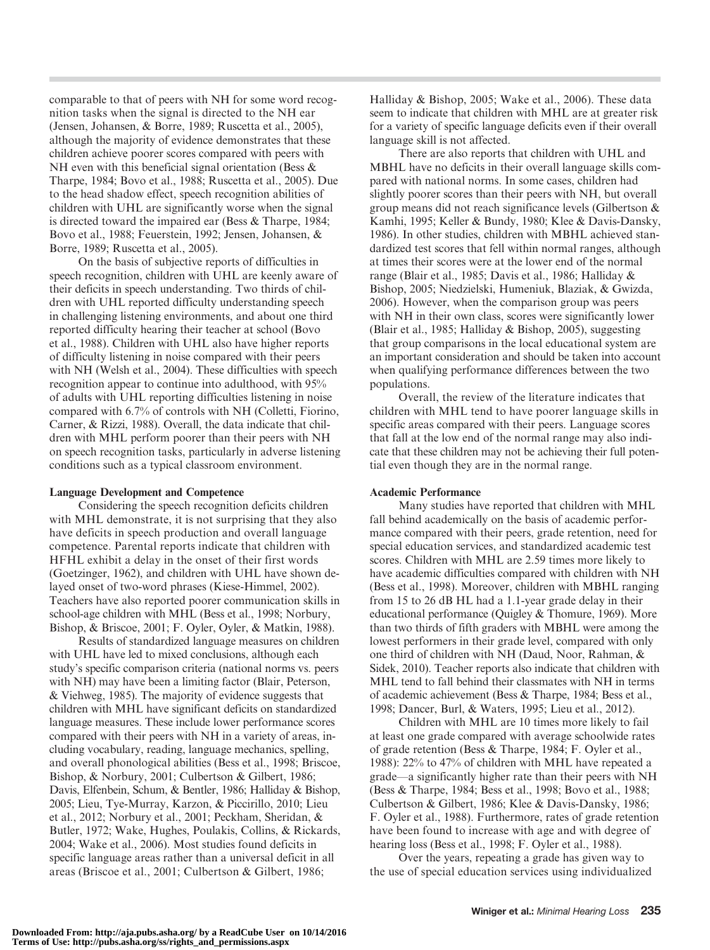comparable to that of peers with NH for some word recognition tasks when the signal is directed to the NH ear (Jensen, Johansen, & Borre, 1989; Ruscetta et al., 2005), although the majority of evidence demonstrates that these children achieve poorer scores compared with peers with NH even with this beneficial signal orientation (Bess & Tharpe, 1984; Bovo et al., 1988; Ruscetta et al., 2005). Due to the head shadow effect, speech recognition abilities of children with UHL are significantly worse when the signal is directed toward the impaired ear (Bess & Tharpe, 1984; Bovo et al., 1988; Feuerstein, 1992; Jensen, Johansen, & Borre, 1989; Ruscetta et al., 2005).

On the basis of subjective reports of difficulties in speech recognition, children with UHL are keenly aware of their deficits in speech understanding. Two thirds of children with UHL reported difficulty understanding speech in challenging listening environments, and about one third reported difficulty hearing their teacher at school (Bovo et al., 1988). Children with UHL also have higher reports of difficulty listening in noise compared with their peers with NH (Welsh et al., 2004). These difficulties with speech recognition appear to continue into adulthood, with 95% of adults with UHL reporting difficulties listening in noise compared with 6.7% of controls with NH (Colletti, Fiorino, Carner, & Rizzi, 1988). Overall, the data indicate that children with MHL perform poorer than their peers with NH on speech recognition tasks, particularly in adverse listening conditions such as a typical classroom environment.

#### Language Development and Competence

Considering the speech recognition deficits children with MHL demonstrate, it is not surprising that they also have deficits in speech production and overall language competence. Parental reports indicate that children with HFHL exhibit a delay in the onset of their first words (Goetzinger, 1962), and children with UHL have shown delayed onset of two-word phrases (Kiese-Himmel, 2002). Teachers have also reported poorer communication skills in school-age children with MHL (Bess et al., 1998; Norbury, Bishop, & Briscoe, 2001; F. Oyler, Oyler, & Matkin, 1988).

Results of standardized language measures on children with UHL have led to mixed conclusions, although each study's specific comparison criteria (national norms vs. peers with NH) may have been a limiting factor (Blair, Peterson, & Viehweg, 1985). The majority of evidence suggests that children with MHL have significant deficits on standardized language measures. These include lower performance scores compared with their peers with NH in a variety of areas, including vocabulary, reading, language mechanics, spelling, and overall phonological abilities (Bess et al., 1998; Briscoe, Bishop, & Norbury, 2001; Culbertson & Gilbert, 1986; Davis, Elfenbein, Schum, & Bentler, 1986; Halliday & Bishop, 2005; Lieu, Tye-Murray, Karzon, & Piccirillo, 2010; Lieu et al., 2012; Norbury et al., 2001; Peckham, Sheridan, & Butler, 1972; Wake, Hughes, Poulakis, Collins, & Rickards, 2004; Wake et al., 2006). Most studies found deficits in specific language areas rather than a universal deficit in all areas (Briscoe et al., 2001; Culbertson & Gilbert, 1986;

Halliday & Bishop, 2005; Wake et al., 2006). These data seem to indicate that children with MHL are at greater risk for a variety of specific language deficits even if their overall language skill is not affected.

There are also reports that children with UHL and MBHL have no deficits in their overall language skills compared with national norms. In some cases, children had slightly poorer scores than their peers with NH, but overall group means did not reach significance levels (Gilbertson & Kamhi, 1995; Keller & Bundy, 1980; Klee & Davis-Dansky, 1986). In other studies, children with MBHL achieved standardized test scores that fell within normal ranges, although at times their scores were at the lower end of the normal range (Blair et al., 1985; Davis et al., 1986; Halliday & Bishop, 2005; Niedzielski, Humeniuk, Blaziak, & Gwizda, 2006). However, when the comparison group was peers with NH in their own class, scores were significantly lower (Blair et al., 1985; Halliday & Bishop, 2005), suggesting that group comparisons in the local educational system are an important consideration and should be taken into account when qualifying performance differences between the two populations.

Overall, the review of the literature indicates that children with MHL tend to have poorer language skills in specific areas compared with their peers. Language scores that fall at the low end of the normal range may also indicate that these children may not be achieving their full potential even though they are in the normal range.

#### Academic Performance

Many studies have reported that children with MHL fall behind academically on the basis of academic performance compared with their peers, grade retention, need for special education services, and standardized academic test scores. Children with MHL are 2.59 times more likely to have academic difficulties compared with children with NH (Bess et al., 1998). Moreover, children with MBHL ranging from 15 to 26 dB HL had a 1.1-year grade delay in their educational performance (Quigley & Thomure, 1969). More than two thirds of fifth graders with MBHL were among the lowest performers in their grade level, compared with only one third of children with NH (Daud, Noor, Rahman, & Sidek, 2010). Teacher reports also indicate that children with MHL tend to fall behind their classmates with NH in terms of academic achievement (Bess & Tharpe, 1984; Bess et al., 1998; Dancer, Burl, & Waters, 1995; Lieu et al., 2012).

Children with MHL are 10 times more likely to fail at least one grade compared with average schoolwide rates of grade retention (Bess & Tharpe, 1984; F. Oyler et al., 1988): 22% to 47% of children with MHL have repeated a grade—a significantly higher rate than their peers with NH (Bess & Tharpe, 1984; Bess et al., 1998; Bovo et al., 1988; Culbertson & Gilbert, 1986; Klee & Davis-Dansky, 1986; F. Oyler et al., 1988). Furthermore, rates of grade retention have been found to increase with age and with degree of hearing loss (Bess et al., 1998; F. Oyler et al., 1988).

Over the years, repeating a grade has given way to the use of special education services using individualized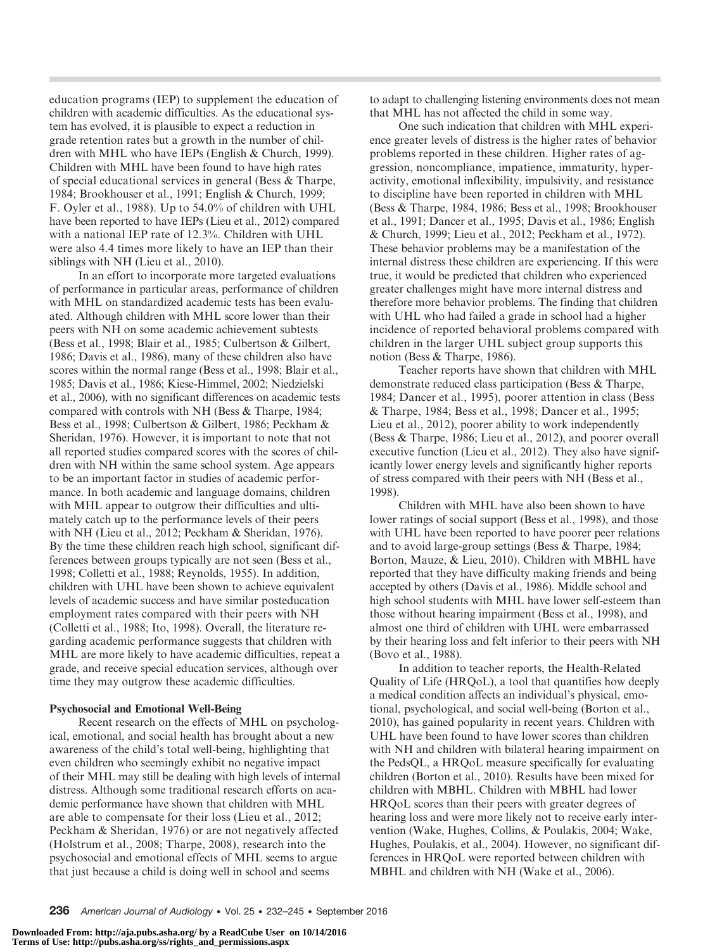education programs (IEP) to supplement the education of children with academic difficulties. As the educational system has evolved, it is plausible to expect a reduction in grade retention rates but a growth in the number of children with MHL who have IEPs (English & Church, 1999). Children with MHL have been found to have high rates of special educational services in general (Bess & Tharpe, 1984; Brookhouser et al., 1991; English & Church, 1999; F. Oyler et al., 1988). Up to 54.0% of children with UHL have been reported to have IEPs (Lieu et al., 2012) compared with a national IEP rate of 12.3%. Children with UHL were also 4.4 times more likely to have an IEP than their siblings with NH (Lieu et al., 2010).

In an effort to incorporate more targeted evaluations of performance in particular areas, performance of children with MHL on standardized academic tests has been evaluated. Although children with MHL score lower than their peers with NH on some academic achievement subtests (Bess et al., 1998; Blair et al., 1985; Culbertson & Gilbert, 1986; Davis et al., 1986), many of these children also have scores within the normal range (Bess et al., 1998; Blair et al., 1985; Davis et al., 1986; Kiese-Himmel, 2002; Niedzielski et al., 2006), with no significant differences on academic tests compared with controls with NH (Bess & Tharpe, 1984; Bess et al., 1998; Culbertson & Gilbert, 1986; Peckham & Sheridan, 1976). However, it is important to note that not all reported studies compared scores with the scores of children with NH within the same school system. Age appears to be an important factor in studies of academic performance. In both academic and language domains, children with MHL appear to outgrow their difficulties and ultimately catch up to the performance levels of their peers with NH (Lieu et al., 2012; Peckham & Sheridan, 1976). By the time these children reach high school, significant differences between groups typically are not seen (Bess et al., 1998; Colletti et al., 1988; Reynolds, 1955). In addition, children with UHL have been shown to achieve equivalent levels of academic success and have similar posteducation employment rates compared with their peers with NH (Colletti et al., 1988; Ito, 1998). Overall, the literature regarding academic performance suggests that children with MHL are more likely to have academic difficulties, repeat a grade, and receive special education services, although over time they may outgrow these academic difficulties.

#### Psychosocial and Emotional Well-Being

Recent research on the effects of MHL on psychological, emotional, and social health has brought about a new awareness of the child's total well-being, highlighting that even children who seemingly exhibit no negative impact of their MHL may still be dealing with high levels of internal distress. Although some traditional research efforts on academic performance have shown that children with MHL are able to compensate for their loss (Lieu et al., 2012; Peckham & Sheridan, 1976) or are not negatively affected (Holstrum et al., 2008; Tharpe, 2008), research into the psychosocial and emotional effects of MHL seems to argue that just because a child is doing well in school and seems

to adapt to challenging listening environments does not mean that MHL has not affected the child in some way.

One such indication that children with MHL experience greater levels of distress is the higher rates of behavior problems reported in these children. Higher rates of aggression, noncompliance, impatience, immaturity, hyperactivity, emotional inflexibility, impulsivity, and resistance to discipline have been reported in children with MHL (Bess & Tharpe, 1984, 1986; Bess et al., 1998; Brookhouser et al., 1991; Dancer et al., 1995; Davis et al., 1986; English & Church, 1999; Lieu et al., 2012; Peckham et al., 1972). These behavior problems may be a manifestation of the internal distress these children are experiencing. If this were true, it would be predicted that children who experienced greater challenges might have more internal distress and therefore more behavior problems. The finding that children with UHL who had failed a grade in school had a higher incidence of reported behavioral problems compared with children in the larger UHL subject group supports this notion (Bess & Tharpe, 1986).

Teacher reports have shown that children with MHL demonstrate reduced class participation (Bess & Tharpe, 1984; Dancer et al., 1995), poorer attention in class (Bess & Tharpe, 1984; Bess et al., 1998; Dancer et al., 1995; Lieu et al., 2012), poorer ability to work independently (Bess & Tharpe, 1986; Lieu et al., 2012), and poorer overall executive function (Lieu et al., 2012). They also have significantly lower energy levels and significantly higher reports of stress compared with their peers with NH (Bess et al., 1998).

Children with MHL have also been shown to have lower ratings of social support (Bess et al., 1998), and those with UHL have been reported to have poorer peer relations and to avoid large-group settings (Bess & Tharpe, 1984; Borton, Mauze, & Lieu, 2010). Children with MBHL have reported that they have difficulty making friends and being accepted by others (Davis et al., 1986). Middle school and high school students with MHL have lower self-esteem than those without hearing impairment (Bess et al., 1998), and almost one third of children with UHL were embarrassed by their hearing loss and felt inferior to their peers with NH (Bovo et al., 1988).

In addition to teacher reports, the Health-Related Quality of Life (HRQoL), a tool that quantifies how deeply a medical condition affects an individual's physical, emotional, psychological, and social well-being (Borton et al., 2010), has gained popularity in recent years. Children with UHL have been found to have lower scores than children with NH and children with bilateral hearing impairment on the PedsQL, a HRQoL measure specifically for evaluating children (Borton et al., 2010). Results have been mixed for children with MBHL. Children with MBHL had lower HRQoL scores than their peers with greater degrees of hearing loss and were more likely not to receive early intervention (Wake, Hughes, Collins, & Poulakis, 2004; Wake, Hughes, Poulakis, et al., 2004). However, no significant differences in HRQoL were reported between children with MBHL and children with NH (Wake et al., 2006).

236 American Journal of Audiology • Vol. 25 • 232-245 • September 2016

**Downloaded From: http://aja.pubs.asha.org/ by a ReadCube User on 10/14/2016 Terms of Use: http://pubs.asha.org/ss/rights\_and\_permissions.aspx**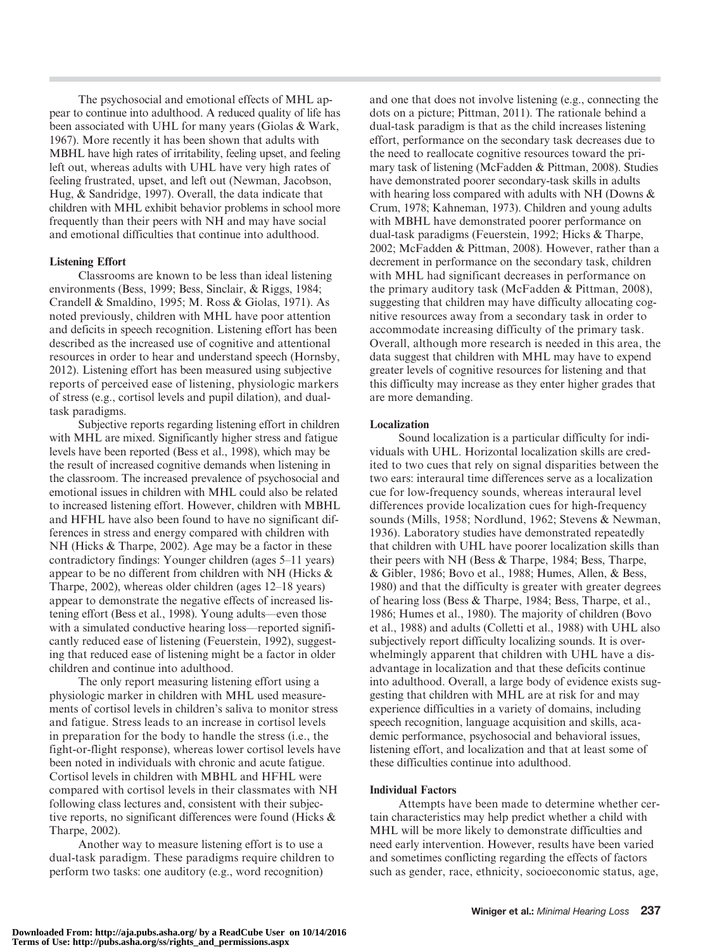The psychosocial and emotional effects of MHL appear to continue into adulthood. A reduced quality of life has been associated with UHL for many years (Giolas & Wark, 1967). More recently it has been shown that adults with MBHL have high rates of irritability, feeling upset, and feeling left out, whereas adults with UHL have very high rates of feeling frustrated, upset, and left out (Newman, Jacobson, Hug, & Sandridge, 1997). Overall, the data indicate that children with MHL exhibit behavior problems in school more frequently than their peers with NH and may have social and emotional difficulties that continue into adulthood.

#### Listening Effort

Classrooms are known to be less than ideal listening environments (Bess, 1999; Bess, Sinclair, & Riggs, 1984; Crandell & Smaldino, 1995; M. Ross & Giolas, 1971). As noted previously, children with MHL have poor attention and deficits in speech recognition. Listening effort has been described as the increased use of cognitive and attentional resources in order to hear and understand speech (Hornsby, 2012). Listening effort has been measured using subjective reports of perceived ease of listening, physiologic markers of stress (e.g., cortisol levels and pupil dilation), and dualtask paradigms.

Subjective reports regarding listening effort in children with MHL are mixed. Significantly higher stress and fatigue levels have been reported (Bess et al., 1998), which may be the result of increased cognitive demands when listening in the classroom. The increased prevalence of psychosocial and emotional issues in children with MHL could also be related to increased listening effort. However, children with MBHL and HFHL have also been found to have no significant differences in stress and energy compared with children with NH (Hicks & Tharpe, 2002). Age may be a factor in these contradictory findings: Younger children (ages 5–11 years) appear to be no different from children with NH (Hicks & Tharpe, 2002), whereas older children (ages 12–18 years) appear to demonstrate the negative effects of increased listening effort (Bess et al., 1998). Young adults—even those with a simulated conductive hearing loss—reported significantly reduced ease of listening (Feuerstein, 1992), suggesting that reduced ease of listening might be a factor in older children and continue into adulthood.

The only report measuring listening effort using a physiologic marker in children with MHL used measurements of cortisol levels in children's saliva to monitor stress and fatigue. Stress leads to an increase in cortisol levels in preparation for the body to handle the stress (i.e., the fight-or-flight response), whereas lower cortisol levels have been noted in individuals with chronic and acute fatigue. Cortisol levels in children with MBHL and HFHL were compared with cortisol levels in their classmates with NH following class lectures and, consistent with their subjective reports, no significant differences were found (Hicks & Tharpe, 2002).

Another way to measure listening effort is to use a dual-task paradigm. These paradigms require children to perform two tasks: one auditory (e.g., word recognition)

and one that does not involve listening (e.g., connecting the dots on a picture; Pittman, 2011). The rationale behind a dual-task paradigm is that as the child increases listening effort, performance on the secondary task decreases due to the need to reallocate cognitive resources toward the primary task of listening (McFadden & Pittman, 2008). Studies have demonstrated poorer secondary-task skills in adults with hearing loss compared with adults with NH (Downs & Crum, 1978; Kahneman, 1973). Children and young adults with MBHL have demonstrated poorer performance on dual-task paradigms (Feuerstein, 1992; Hicks & Tharpe, 2002; McFadden & Pittman, 2008). However, rather than a decrement in performance on the secondary task, children with MHL had significant decreases in performance on the primary auditory task (McFadden & Pittman, 2008), suggesting that children may have difficulty allocating cognitive resources away from a secondary task in order to accommodate increasing difficulty of the primary task. Overall, although more research is needed in this area, the data suggest that children with MHL may have to expend greater levels of cognitive resources for listening and that this difficulty may increase as they enter higher grades that are more demanding.

## Localization

Sound localization is a particular difficulty for individuals with UHL. Horizontal localization skills are credited to two cues that rely on signal disparities between the two ears: interaural time differences serve as a localization cue for low-frequency sounds, whereas interaural level differences provide localization cues for high-frequency sounds (Mills, 1958; Nordlund, 1962; Stevens & Newman, 1936). Laboratory studies have demonstrated repeatedly that children with UHL have poorer localization skills than their peers with NH (Bess & Tharpe, 1984; Bess, Tharpe, & Gibler, 1986; Bovo et al., 1988; Humes, Allen, & Bess, 1980) and that the difficulty is greater with greater degrees of hearing loss (Bess & Tharpe, 1984; Bess, Tharpe, et al., 1986; Humes et al., 1980). The majority of children (Bovo et al., 1988) and adults (Colletti et al., 1988) with UHL also subjectively report difficulty localizing sounds. It is overwhelmingly apparent that children with UHL have a disadvantage in localization and that these deficits continue into adulthood. Overall, a large body of evidence exists suggesting that children with MHL are at risk for and may experience difficulties in a variety of domains, including speech recognition, language acquisition and skills, academic performance, psychosocial and behavioral issues, listening effort, and localization and that at least some of these difficulties continue into adulthood.

#### Individual Factors

Attempts have been made to determine whether certain characteristics may help predict whether a child with MHL will be more likely to demonstrate difficulties and need early intervention. However, results have been varied and sometimes conflicting regarding the effects of factors such as gender, race, ethnicity, socioeconomic status, age,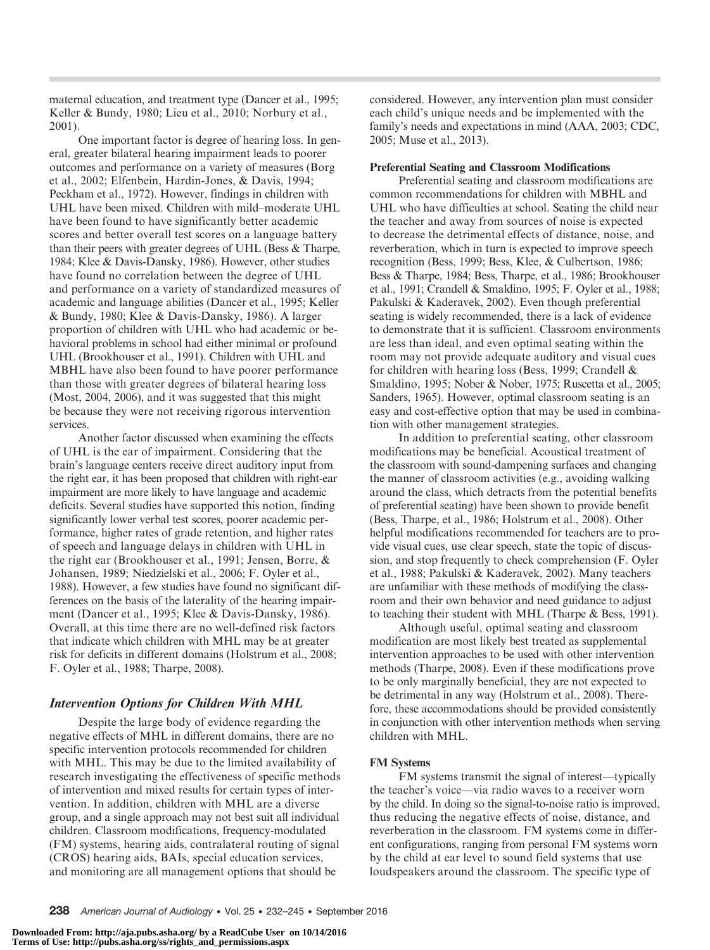maternal education, and treatment type (Dancer et al., 1995; Keller & Bundy, 1980; Lieu et al., 2010; Norbury et al., 2001).

One important factor is degree of hearing loss. In general, greater bilateral hearing impairment leads to poorer outcomes and performance on a variety of measures (Borg et al., 2002; Elfenbein, Hardin-Jones, & Davis, 1994; Peckham et al., 1972). However, findings in children with UHL have been mixed. Children with mild–moderate UHL have been found to have significantly better academic scores and better overall test scores on a language battery than their peers with greater degrees of UHL (Bess & Tharpe, 1984; Klee & Davis-Dansky, 1986). However, other studies have found no correlation between the degree of UHL and performance on a variety of standardized measures of academic and language abilities (Dancer et al., 1995; Keller & Bundy, 1980; Klee & Davis-Dansky, 1986). A larger proportion of children with UHL who had academic or behavioral problems in school had either minimal or profound UHL (Brookhouser et al., 1991). Children with UHL and MBHL have also been found to have poorer performance than those with greater degrees of bilateral hearing loss (Most, 2004, 2006), and it was suggested that this might be because they were not receiving rigorous intervention services.

Another factor discussed when examining the effects of UHL is the ear of impairment. Considering that the brain's language centers receive direct auditory input from the right ear, it has been proposed that children with right-ear impairment are more likely to have language and academic deficits. Several studies have supported this notion, finding significantly lower verbal test scores, poorer academic performance, higher rates of grade retention, and higher rates of speech and language delays in children with UHL in the right ear (Brookhouser et al., 1991; Jensen, Borre, & Johansen, 1989; Niedzielski et al., 2006; F. Oyler et al., 1988). However, a few studies have found no significant differences on the basis of the laterality of the hearing impairment (Dancer et al., 1995; Klee & Davis-Dansky, 1986). Overall, at this time there are no well-defined risk factors that indicate which children with MHL may be at greater risk for deficits in different domains (Holstrum et al., 2008; F. Oyler et al., 1988; Tharpe, 2008).

#### Intervention Options for Children With MHL

Despite the large body of evidence regarding the negative effects of MHL in different domains, there are no specific intervention protocols recommended for children with MHL. This may be due to the limited availability of research investigating the effectiveness of specific methods of intervention and mixed results for certain types of intervention. In addition, children with MHL are a diverse group, and a single approach may not best suit all individual children. Classroom modifications, frequency-modulated (FM) systems, hearing aids, contralateral routing of signal (CROS) hearing aids, BAIs, special education services, and monitoring are all management options that should be

considered. However, any intervention plan must consider each child's unique needs and be implemented with the family's needs and expectations in mind (AAA, 2003; CDC, 2005; Muse et al., 2013).

#### Preferential Seating and Classroom Modifications

Preferential seating and classroom modifications are common recommendations for children with MBHL and UHL who have difficulties at school. Seating the child near the teacher and away from sources of noise is expected to decrease the detrimental effects of distance, noise, and reverberation, which in turn is expected to improve speech recognition (Bess, 1999; Bess, Klee, & Culbertson, 1986; Bess & Tharpe, 1984; Bess, Tharpe, et al., 1986; Brookhouser et al., 1991; Crandell & Smaldino, 1995; F. Oyler et al., 1988; Pakulski & Kaderavek, 2002). Even though preferential seating is widely recommended, there is a lack of evidence to demonstrate that it is sufficient. Classroom environments are less than ideal, and even optimal seating within the room may not provide adequate auditory and visual cues for children with hearing loss (Bess, 1999; Crandell & Smaldino, 1995; Nober & Nober, 1975; Ruscetta et al., 2005; Sanders, 1965). However, optimal classroom seating is an easy and cost-effective option that may be used in combination with other management strategies.

In addition to preferential seating, other classroom modifications may be beneficial. Acoustical treatment of the classroom with sound-dampening surfaces and changing the manner of classroom activities (e.g., avoiding walking around the class, which detracts from the potential benefits of preferential seating) have been shown to provide benefit (Bess, Tharpe, et al., 1986; Holstrum et al., 2008). Other helpful modifications recommended for teachers are to provide visual cues, use clear speech, state the topic of discussion, and stop frequently to check comprehension (F. Oyler et al., 1988; Pakulski & Kaderavek, 2002). Many teachers are unfamiliar with these methods of modifying the classroom and their own behavior and need guidance to adjust to teaching their student with MHL (Tharpe & Bess, 1991).

Although useful, optimal seating and classroom modification are most likely best treated as supplemental intervention approaches to be used with other intervention methods (Tharpe, 2008). Even if these modifications prove to be only marginally beneficial, they are not expected to be detrimental in any way (Holstrum et al., 2008). Therefore, these accommodations should be provided consistently in conjunction with other intervention methods when serving children with MHL.

#### FM Systems

FM systems transmit the signal of interest—typically the teacher's voice—via radio waves to a receiver worn by the child. In doing so the signal-to-noise ratio is improved, thus reducing the negative effects of noise, distance, and reverberation in the classroom. FM systems come in different configurations, ranging from personal FM systems worn by the child at ear level to sound field systems that use loudspeakers around the classroom. The specific type of

238 American Journal of Audiology • Vol. 25 • 232-245 • September 2016

**Downloaded From: http://aja.pubs.asha.org/ by a ReadCube User on 10/14/2016 Terms of Use: http://pubs.asha.org/ss/rights\_and\_permissions.aspx**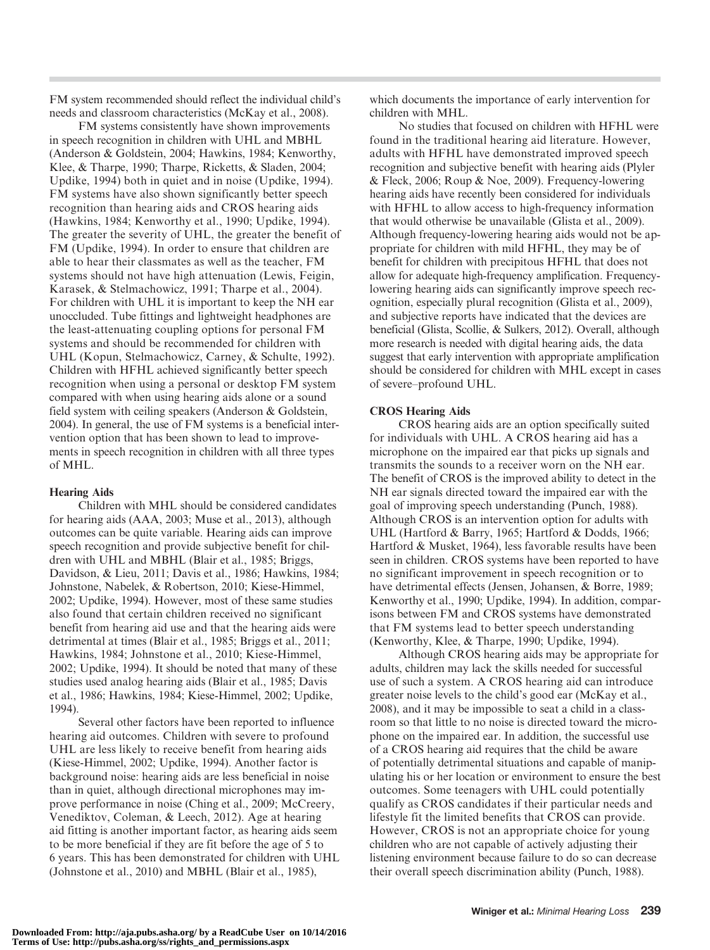FM system recommended should reflect the individual child's needs and classroom characteristics (McKay et al., 2008).

FM systems consistently have shown improvements in speech recognition in children with UHL and MBHL (Anderson & Goldstein, 2004; Hawkins, 1984; Kenworthy, Klee, & Tharpe, 1990; Tharpe, Ricketts, & Sladen, 2004; Updike, 1994) both in quiet and in noise (Updike, 1994). FM systems have also shown significantly better speech recognition than hearing aids and CROS hearing aids (Hawkins, 1984; Kenworthy et al., 1990; Updike, 1994). The greater the severity of UHL, the greater the benefit of FM (Updike, 1994). In order to ensure that children are able to hear their classmates as well as the teacher, FM systems should not have high attenuation (Lewis, Feigin, Karasek, & Stelmachowicz, 1991; Tharpe et al., 2004). For children with UHL it is important to keep the NH ear unoccluded. Tube fittings and lightweight headphones are the least-attenuating coupling options for personal FM systems and should be recommended for children with UHL (Kopun, Stelmachowicz, Carney, & Schulte, 1992). Children with HFHL achieved significantly better speech recognition when using a personal or desktop FM system compared with when using hearing aids alone or a sound field system with ceiling speakers (Anderson & Goldstein, 2004). In general, the use of FM systems is a beneficial intervention option that has been shown to lead to improvements in speech recognition in children with all three types of MHL.

#### Hearing Aids

Children with MHL should be considered candidates for hearing aids (AAA, 2003; Muse et al., 2013), although outcomes can be quite variable. Hearing aids can improve speech recognition and provide subjective benefit for children with UHL and MBHL (Blair et al., 1985; Briggs, Davidson, & Lieu, 2011; Davis et al., 1986; Hawkins, 1984; Johnstone, Nabelek, & Robertson, 2010; Kiese-Himmel, 2002; Updike, 1994). However, most of these same studies also found that certain children received no significant benefit from hearing aid use and that the hearing aids were detrimental at times (Blair et al., 1985; Briggs et al., 2011; Hawkins, 1984; Johnstone et al., 2010; Kiese-Himmel, 2002; Updike, 1994). It should be noted that many of these studies used analog hearing aids (Blair et al., 1985; Davis et al., 1986; Hawkins, 1984; Kiese-Himmel, 2002; Updike, 1994).

Several other factors have been reported to influence hearing aid outcomes. Children with severe to profound UHL are less likely to receive benefit from hearing aids (Kiese-Himmel, 2002; Updike, 1994). Another factor is background noise: hearing aids are less beneficial in noise than in quiet, although directional microphones may improve performance in noise (Ching et al., 2009; McCreery, Venediktov, Coleman, & Leech, 2012). Age at hearing aid fitting is another important factor, as hearing aids seem to be more beneficial if they are fit before the age of 5 to 6 years. This has been demonstrated for children with UHL (Johnstone et al., 2010) and MBHL (Blair et al., 1985),

which documents the importance of early intervention for children with MHL.

No studies that focused on children with HFHL were found in the traditional hearing aid literature. However, adults with HFHL have demonstrated improved speech recognition and subjective benefit with hearing aids (Plyler & Fleck, 2006; Roup & Noe, 2009). Frequency-lowering hearing aids have recently been considered for individuals with HFHL to allow access to high-frequency information that would otherwise be unavailable (Glista et al., 2009). Although frequency-lowering hearing aids would not be appropriate for children with mild HFHL, they may be of benefit for children with precipitous HFHL that does not allow for adequate high-frequency amplification. Frequencylowering hearing aids can significantly improve speech recognition, especially plural recognition (Glista et al., 2009), and subjective reports have indicated that the devices are beneficial (Glista, Scollie, & Sulkers, 2012). Overall, although more research is needed with digital hearing aids, the data suggest that early intervention with appropriate amplification should be considered for children with MHL except in cases of severe–profound UHL.

#### CROS Hearing Aids

CROS hearing aids are an option specifically suited for individuals with UHL. A CROS hearing aid has a microphone on the impaired ear that picks up signals and transmits the sounds to a receiver worn on the NH ear. The benefit of CROS is the improved ability to detect in the NH ear signals directed toward the impaired ear with the goal of improving speech understanding (Punch, 1988). Although CROS is an intervention option for adults with UHL (Hartford & Barry, 1965; Hartford & Dodds, 1966; Hartford & Musket, 1964), less favorable results have been seen in children. CROS systems have been reported to have no significant improvement in speech recognition or to have detrimental effects (Jensen, Johansen, & Borre, 1989; Kenworthy et al., 1990; Updike, 1994). In addition, comparisons between FM and CROS systems have demonstrated that FM systems lead to better speech understanding (Kenworthy, Klee, & Tharpe, 1990; Updike, 1994).

Although CROS hearing aids may be appropriate for adults, children may lack the skills needed for successful use of such a system. A CROS hearing aid can introduce greater noise levels to the child's good ear (McKay et al., 2008), and it may be impossible to seat a child in a classroom so that little to no noise is directed toward the microphone on the impaired ear. In addition, the successful use of a CROS hearing aid requires that the child be aware of potentially detrimental situations and capable of manipulating his or her location or environment to ensure the best outcomes. Some teenagers with UHL could potentially qualify as CROS candidates if their particular needs and lifestyle fit the limited benefits that CROS can provide. However, CROS is not an appropriate choice for young children who are not capable of actively adjusting their listening environment because failure to do so can decrease their overall speech discrimination ability (Punch, 1988).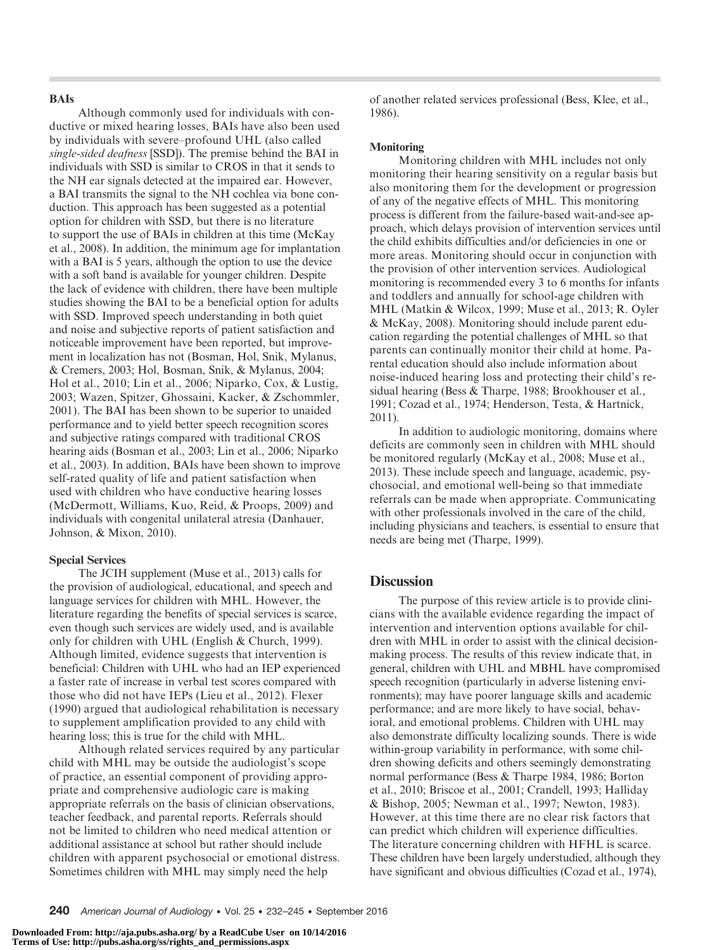#### BAIs

Although commonly used for individuals with conductive or mixed hearing losses, BAIs have also been used by individuals with severe–profound UHL (also called single-sided deafness [SSD]). The premise behind the BAI in individuals with SSD is similar to CROS in that it sends to the NH ear signals detected at the impaired ear. However, a BAI transmits the signal to the NH cochlea via bone conduction. This approach has been suggested as a potential option for children with SSD, but there is no literature to support the use of BAIs in children at this time (McKay et al., 2008). In addition, the minimum age for implantation with a BAI is 5 years, although the option to use the device with a soft band is available for younger children. Despite the lack of evidence with children, there have been multiple studies showing the BAI to be a beneficial option for adults with SSD. Improved speech understanding in both quiet and noise and subjective reports of patient satisfaction and noticeable improvement have been reported, but improvement in localization has not (Bosman, Hol, Snik, Mylanus, & Cremers, 2003; Hol, Bosman, Snik, & Mylanus, 2004; Hol et al., 2010; Lin et al., 2006; Niparko, Cox, & Lustig, 2003; Wazen, Spitzer, Ghossaini, Kacker, & Zschommler, 2001). The BAI has been shown to be superior to unaided performance and to yield better speech recognition scores and subjective ratings compared with traditional CROS hearing aids (Bosman et al., 2003; Lin et al., 2006; Niparko et al., 2003). In addition, BAIs have been shown to improve self-rated quality of life and patient satisfaction when used with children who have conductive hearing losses (McDermott, Williams, Kuo, Reid, & Proops, 2009) and individuals with congenital unilateral atresia (Danhauer, Johnson, & Mixon, 2010).

#### Special Services

The JCIH supplement (Muse et al., 2013) calls for the provision of audiological, educational, and speech and language services for children with MHL. However, the literature regarding the benefits of special services is scarce, even though such services are widely used, and is available only for children with UHL (English & Church, 1999). Although limited, evidence suggests that intervention is beneficial: Children with UHL who had an IEP experienced a faster rate of increase in verbal test scores compared with those who did not have IEPs (Lieu et al., 2012). Flexer (1990) argued that audiological rehabilitation is necessary to supplement amplification provided to any child with hearing loss; this is true for the child with MHL.

Although related services required by any particular child with MHL may be outside the audiologist's scope of practice, an essential component of providing appropriate and comprehensive audiologic care is making appropriate referrals on the basis of clinician observations, teacher feedback, and parental reports. Referrals should not be limited to children who need medical attention or additional assistance at school but rather should include children with apparent psychosocial or emotional distress. Sometimes children with MHL may simply need the help

of another related services professional (Bess, Klee, et al., 1986).

#### **Monitoring**

Monitoring children with MHL includes not only monitoring their hearing sensitivity on a regular basis but also monitoring them for the development or progression of any of the negative effects of MHL. This monitoring process is different from the failure-based wait-and-see approach, which delays provision of intervention services until the child exhibits difficulties and/or deficiencies in one or more areas. Monitoring should occur in conjunction with the provision of other intervention services. Audiological monitoring is recommended every 3 to 6 months for infants and toddlers and annually for school-age children with MHL (Matkin & Wilcox, 1999; Muse et al., 2013; R. Oyler & McKay, 2008). Monitoring should include parent education regarding the potential challenges of MHL so that parents can continually monitor their child at home. Parental education should also include information about noise-induced hearing loss and protecting their child's residual hearing (Bess & Tharpe, 1988; Brookhouser et al., 1991; Cozad et al., 1974; Henderson, Testa, & Hartnick, 2011).

In addition to audiologic monitoring, domains where deficits are commonly seen in children with MHL should be monitored regularly (McKay et al., 2008; Muse et al., 2013). These include speech and language, academic, psychosocial, and emotional well-being so that immediate referrals can be made when appropriate. Communicating with other professionals involved in the care of the child, including physicians and teachers, is essential to ensure that needs are being met (Tharpe, 1999).

# **Discussion**

The purpose of this review article is to provide clinicians with the available evidence regarding the impact of intervention and intervention options available for children with MHL in order to assist with the clinical decisionmaking process. The results of this review indicate that, in general, children with UHL and MBHL have compromised speech recognition (particularly in adverse listening environments); may have poorer language skills and academic performance; and are more likely to have social, behavioral, and emotional problems. Children with UHL may also demonstrate difficulty localizing sounds. There is wide within-group variability in performance, with some children showing deficits and others seemingly demonstrating normal performance (Bess & Tharpe 1984, 1986; Borton et al., 2010; Briscoe et al., 2001; Crandell, 1993; Halliday & Bishop, 2005; Newman et al., 1997; Newton, 1983). However, at this time there are no clear risk factors that can predict which children will experience difficulties. The literature concerning children with HFHL is scarce. These children have been largely understudied, although they have significant and obvious difficulties (Cozad et al., 1974),

**Downloaded From: http://aja.pubs.asha.org/ by a ReadCube User on 10/14/2016 Terms of Use: http://pubs.asha.org/ss/rights\_and\_permissions.aspx**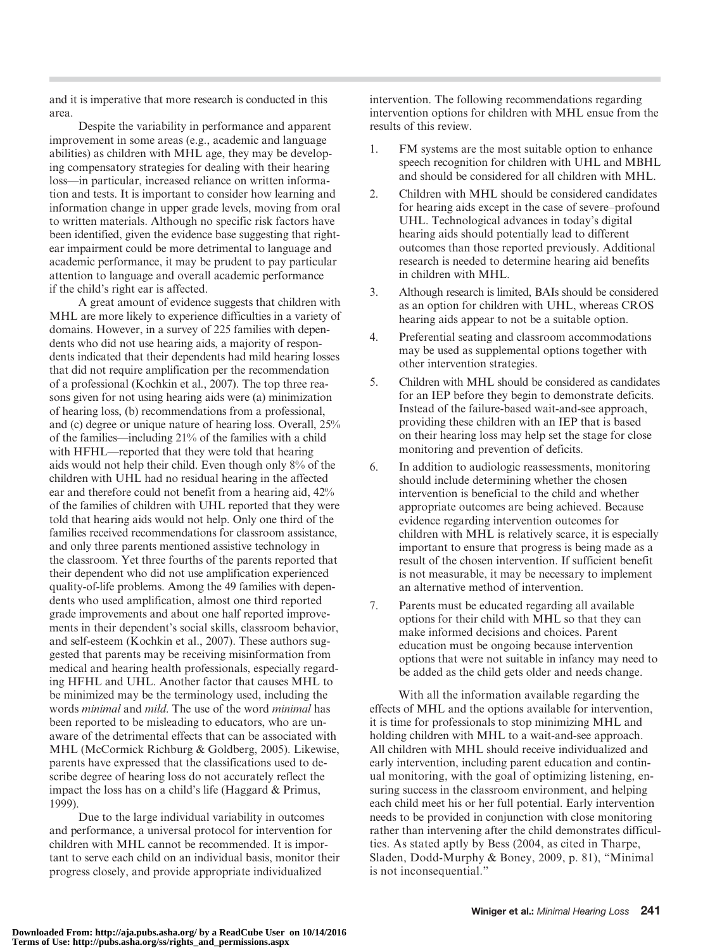and it is imperative that more research is conducted in this area.

Despite the variability in performance and apparent improvement in some areas (e.g., academic and language abilities) as children with MHL age, they may be developing compensatory strategies for dealing with their hearing loss—in particular, increased reliance on written information and tests. It is important to consider how learning and information change in upper grade levels, moving from oral to written materials. Although no specific risk factors have been identified, given the evidence base suggesting that rightear impairment could be more detrimental to language and academic performance, it may be prudent to pay particular attention to language and overall academic performance if the child's right ear is affected.

A great amount of evidence suggests that children with MHL are more likely to experience difficulties in a variety of domains. However, in a survey of 225 families with dependents who did not use hearing aids, a majority of respondents indicated that their dependents had mild hearing losses that did not require amplification per the recommendation of a professional (Kochkin et al., 2007). The top three reasons given for not using hearing aids were (a) minimization of hearing loss, (b) recommendations from a professional, and (c) degree or unique nature of hearing loss. Overall, 25% of the families—including 21% of the families with a child with HFHL—reported that they were told that hearing aids would not help their child. Even though only 8% of the children with UHL had no residual hearing in the affected ear and therefore could not benefit from a hearing aid, 42% of the families of children with UHL reported that they were told that hearing aids would not help. Only one third of the families received recommendations for classroom assistance, and only three parents mentioned assistive technology in the classroom. Yet three fourths of the parents reported that their dependent who did not use amplification experienced quality-of-life problems. Among the 49 families with dependents who used amplification, almost one third reported grade improvements and about one half reported improvements in their dependent's social skills, classroom behavior, and self-esteem (Kochkin et al., 2007). These authors suggested that parents may be receiving misinformation from medical and hearing health professionals, especially regarding HFHL and UHL. Another factor that causes MHL to be minimized may be the terminology used, including the words minimal and mild. The use of the word minimal has been reported to be misleading to educators, who are unaware of the detrimental effects that can be associated with MHL (McCormick Richburg & Goldberg, 2005). Likewise, parents have expressed that the classifications used to describe degree of hearing loss do not accurately reflect the impact the loss has on a child's life (Haggard & Primus, 1999).

Due to the large individual variability in outcomes and performance, a universal protocol for intervention for children with MHL cannot be recommended. It is important to serve each child on an individual basis, monitor their progress closely, and provide appropriate individualized

intervention. The following recommendations regarding intervention options for children with MHL ensue from the results of this review.

- 1. FM systems are the most suitable option to enhance speech recognition for children with UHL and MBHL and should be considered for all children with MHL.
- 2. Children with MHL should be considered candidates for hearing aids except in the case of severe–profound UHL. Technological advances in today's digital hearing aids should potentially lead to different outcomes than those reported previously. Additional research is needed to determine hearing aid benefits in children with MHL.
- 3. Although research is limited, BAIs should be considered as an option for children with UHL, whereas CROS hearing aids appear to not be a suitable option.
- 4. Preferential seating and classroom accommodations may be used as supplemental options together with other intervention strategies.
- 5. Children with MHL should be considered as candidates for an IEP before they begin to demonstrate deficits. Instead of the failure-based wait-and-see approach, providing these children with an IEP that is based on their hearing loss may help set the stage for close monitoring and prevention of deficits.
- 6. In addition to audiologic reassessments, monitoring should include determining whether the chosen intervention is beneficial to the child and whether appropriate outcomes are being achieved. Because evidence regarding intervention outcomes for children with MHL is relatively scarce, it is especially important to ensure that progress is being made as a result of the chosen intervention. If sufficient benefit is not measurable, it may be necessary to implement an alternative method of intervention.
- 7. Parents must be educated regarding all available options for their child with MHL so that they can make informed decisions and choices. Parent education must be ongoing because intervention options that were not suitable in infancy may need to be added as the child gets older and needs change.

With all the information available regarding the effects of MHL and the options available for intervention, it is time for professionals to stop minimizing MHL and holding children with MHL to a wait-and-see approach. All children with MHL should receive individualized and early intervention, including parent education and continual monitoring, with the goal of optimizing listening, ensuring success in the classroom environment, and helping each child meet his or her full potential. Early intervention needs to be provided in conjunction with close monitoring rather than intervening after the child demonstrates difficulties. As stated aptly by Bess (2004, as cited in Tharpe, Sladen, Dodd-Murphy & Boney, 2009, p. 81), "Minimal is not inconsequential."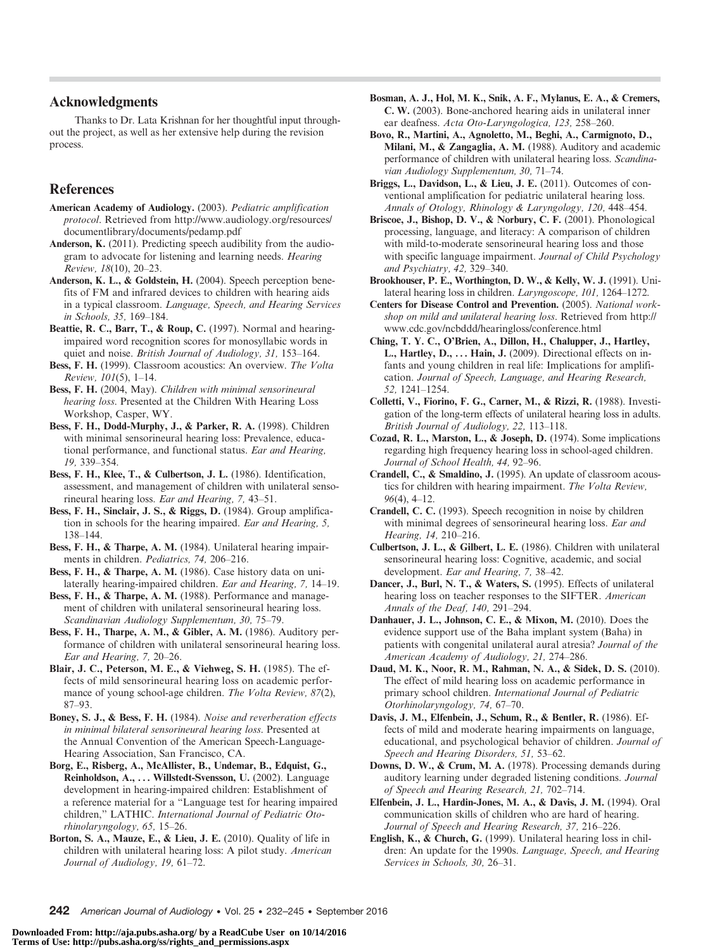## Acknowledgments

Thanks to Dr. Lata Krishnan for her thoughtful input throughout the project, as well as her extensive help during the revision process.

# **References**

- American Academy of Audiology. (2003). Pediatric amplification protocol. Retrieved from http://www.audiology.org/resources/ documentlibrary/documents/pedamp.pdf
- Anderson, K. (2011). Predicting speech audibility from the audiogram to advocate for listening and learning needs. Hearing Review, 18(10), 20–23.
- Anderson, K. L., & Goldstein, H. (2004). Speech perception benefits of FM and infrared devices to children with hearing aids in a typical classroom. Language, Speech, and Hearing Services in Schools, 35, 169–184.
- Beattie, R. C., Barr, T., & Roup, C. (1997). Normal and hearingimpaired word recognition scores for monosyllabic words in quiet and noise. British Journal of Audiology, 31, 153-164.
- Bess, F. H. (1999). Classroom acoustics: An overview. The Volta Review, 101(5), 1–14.
- Bess, F. H. (2004, May). Children with minimal sensorineural hearing loss. Presented at the Children With Hearing Loss Workshop, Casper, WY.
- Bess, F. H., Dodd-Murphy, J., & Parker, R. A. (1998). Children with minimal sensorineural hearing loss: Prevalence, educational performance, and functional status. Ear and Hearing, 19, 339–354.
- Bess, F. H., Klee, T., & Culbertson, J. L. (1986). Identification, assessment, and management of children with unilateral sensorineural hearing loss. Ear and Hearing, 7, 43–51.
- Bess, F. H., Sinclair, J. S., & Riggs, D. (1984). Group amplification in schools for the hearing impaired. Ear and Hearing, 5, 138–144.
- Bess, F. H., & Tharpe, A. M. (1984). Unilateral hearing impairments in children. Pediatrics, 74, 206–216.
- Bess, F. H., & Tharpe, A. M. (1986). Case history data on unilaterally hearing-impaired children. Ear and Hearing, 7, 14–19.
- Bess, F. H., & Tharpe, A. M. (1988). Performance and management of children with unilateral sensorineural hearing loss. Scandinavian Audiology Supplementum, 30, 75–79.
- Bess, F. H., Tharpe, A. M., & Gibler, A. M. (1986). Auditory performance of children with unilateral sensorineural hearing loss. Ear and Hearing, 7, 20–26.
- Blair, J. C., Peterson, M. E., & Viehweg, S. H. (1985). The effects of mild sensorineural hearing loss on academic performance of young school-age children. The Volta Review, 87(2), 87–93.
- Boney, S. J., & Bess, F. H. (1984). Noise and reverberation effects in minimal bilateral sensorineural hearing loss. Presented at the Annual Convention of the American Speech-Language-Hearing Association, San Francisco, CA.
- Borg, E., Risberg, A., McAllister, B., Undemar, B., Edquist, G., Reinholdson, A., ... Willstedt-Svensson, U. (2002). Language development in hearing-impaired children: Establishment of a reference material for a "Language test for hearing impaired children," LATHIC. International Journal of Pediatric Otorhinolaryngology, 65, 15–26.
- Borton, S. A., Mauze, E., & Lieu, J. E. (2010). Quality of life in children with unilateral hearing loss: A pilot study. American Journal of Audiology, 19, 61–72.
- Bosman, A. J., Hol, M. K., Snik, A. F., Mylanus, E. A., & Cremers, C. W. (2003). Bone-anchored hearing aids in unilateral inner ear deafness. Acta Oto-Laryngologica, 123, 258–260.
- Bovo, R., Martini, A., Agnoletto, M., Beghi, A., Carmignoto, D., Milani, M., & Zangaglia, A. M. (1988). Auditory and academic performance of children with unilateral hearing loss. Scandinavian Audiology Supplementum, 30, 71–74.
- Briggs, L., Davidson, L., & Lieu, J. E. (2011). Outcomes of conventional amplification for pediatric unilateral hearing loss. Annals of Otology, Rhinology & Laryngology, 120, 448–454.
- Briscoe, J., Bishop, D. V., & Norbury, C. F. (2001). Phonological processing, language, and literacy: A comparison of children with mild-to-moderate sensorineural hearing loss and those with specific language impairment. Journal of Child Psychology and Psychiatry, 42, 329–340.
- Brookhouser, P. E., Worthington, D. W., & Kelly, W. J. (1991). Unilateral hearing loss in children. Laryngoscope, 101, 1264–1272.
- Centers for Disease Control and Prevention. (2005). National workshop on mild and unilateral hearing loss. Retrieved from http:// www.cdc.gov/ncbddd/hearingloss/conference.html
- Ching, T. Y. C., O*'*Brien, A., Dillon, H., Chalupper, J., Hartley, L., Hartley, D., ... Hain, J. (2009). Directional effects on infants and young children in real life: Implications for amplification. Journal of Speech, Language, and Hearing Research, 52, 1241–1254.
- Colletti, V., Fiorino, F. G., Carner, M., & Rizzi, R. (1988). Investigation of the long-term effects of unilateral hearing loss in adults. British Journal of Audiology, 22, 113–118.
- Cozad, R. L., Marston, L., & Joseph, D. (1974). Some implications regarding high frequency hearing loss in school-aged children. Journal of School Health, 44, 92–96.
- Crandell, C., & Smaldino, J. (1995). An update of classroom acoustics for children with hearing impairment. The Volta Review, 96(4), 4–12.
- Crandell, C. C. (1993). Speech recognition in noise by children with minimal degrees of sensorineural hearing loss. Ear and Hearing, 14, 210–216.
- Culbertson, J. L., & Gilbert, L. E. (1986). Children with unilateral sensorineural hearing loss: Cognitive, academic, and social development. Ear and Hearing, 7, 38–42.
- Dancer, J., Burl, N. T., & Waters, S. (1995). Effects of unilateral hearing loss on teacher responses to the SIFTER. American Annals of the Deaf, 140, 291–294.
- Danhauer, J. L., Johnson, C. E., & Mixon, M. (2010). Does the evidence support use of the Baha implant system (Baha) in patients with congenital unilateral aural atresia? Journal of the American Academy of Audiology, 21, 274–286.
- Daud, M. K., Noor, R. M., Rahman, N. A., & Sidek, D. S. (2010). The effect of mild hearing loss on academic performance in primary school children. International Journal of Pediatric Otorhinolaryngology, 74, 67–70.
- Davis, J. M., Elfenbein, J., Schum, R., & Bentler, R. (1986). Effects of mild and moderate hearing impairments on language, educational, and psychological behavior of children. Journal of Speech and Hearing Disorders, 51, 53–62.
- Downs, D. W., & Crum, M. A. (1978). Processing demands during auditory learning under degraded listening conditions. Journal of Speech and Hearing Research, 21, 702–714.
- Elfenbein, J. L., Hardin-Jones, M. A., & Davis, J. M. (1994). Oral communication skills of children who are hard of hearing. Journal of Speech and Hearing Research, 37, 216–226.
- English, K., & Church, G. (1999). Unilateral hearing loss in children: An update for the 1990s. Language, Speech, and Hearing Services in Schools, 30, 26–31.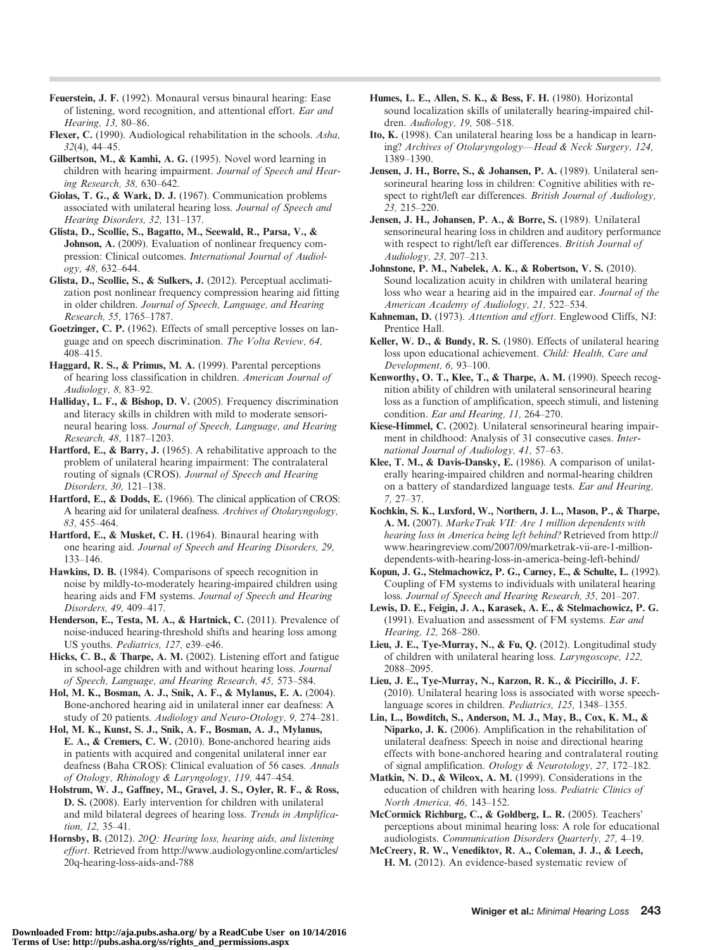- Feuerstein, J. F. (1992). Monaural versus binaural hearing: Ease of listening, word recognition, and attentional effort. Ear and Hearing, 13, 80–86.
- Flexer, C. (1990). Audiological rehabilitation in the schools. Asha, 32(4), 44–45.
- Gilbertson, M., & Kamhi, A. G. (1995). Novel word learning in children with hearing impairment. Journal of Speech and Hearing Research, 38, 630–642.

Giolas, T. G., & Wark, D. J. (1967). Communication problems associated with unilateral hearing loss. Journal of Speech and Hearing Disorders, 32, 131–137.

Glista, D., Scollie, S., Bagatto, M., Seewald, R., Parsa, V., & Johnson, A. (2009). Evaluation of nonlinear frequency compression: Clinical outcomes. International Journal of Audiology, 48, 632–644.

Glista, D., Scollie, S., & Sulkers, J. (2012). Perceptual acclimatization post nonlinear frequency compression hearing aid fitting in older children. Journal of Speech, Language, and Hearing Research, 55, 1765–1787.

Goetzinger, C. P. (1962). Effects of small perceptive losses on language and on speech discrimination. The Volta Review, 64, 408–415.

Haggard, R. S., & Primus, M. A. (1999). Parental perceptions of hearing loss classification in children. American Journal of Audiology, 8, 83–92.

Halliday, L. F., & Bishop, D. V. (2005). Frequency discrimination and literacy skills in children with mild to moderate sensorineural hearing loss. Journal of Speech, Language, and Hearing Research, 48, 1187–1203.

Hartford, E., & Barry, J. (1965). A rehabilitative approach to the problem of unilateral hearing impairment: The contralateral routing of signals (CROS). Journal of Speech and Hearing Disorders, 30, 121–138.

Hartford, E., & Dodds, E. (1966). The clinical application of CROS: A hearing aid for unilateral deafness. Archives of Otolaryngology, 83, 455–464.

Hartford, E., & Musket, C. H. (1964). Binaural hearing with one hearing aid. Journal of Speech and Hearing Disorders, 29, 133–146.

Hawkins, D. B. (1984). Comparisons of speech recognition in noise by mildly-to-moderately hearing-impaired children using hearing aids and FM systems. Journal of Speech and Hearing Disorders, 49, 409–417.

Henderson, E., Testa, M. A., & Hartnick, C. (2011). Prevalence of noise-induced hearing-threshold shifts and hearing loss among US youths. Pediatrics, 127, e39–e46.

Hicks, C. B., & Tharpe, A. M. (2002). Listening effort and fatigue in school-age children with and without hearing loss. Journal of Speech, Language, and Hearing Research, 45, 573–584.

Hol, M. K., Bosman, A. J., Snik, A. F., & Mylanus, E. A. (2004). Bone-anchored hearing aid in unilateral inner ear deafness: A study of 20 patients. Audiology and Neuro-Otology, 9, 274–281.

Hol, M. K., Kunst, S. J., Snik, A. F., Bosman, A. J., Mylanus, E. A., & Cremers, C. W. (2010). Bone-anchored hearing aids in patients with acquired and congenital unilateral inner ear deafness (Baha CROS): Clinical evaluation of 56 cases. Annals of Otology, Rhinology & Laryngology, 119, 447–454.

Holstrum, W. J., Gaffney, M., Gravel, J. S., Oyler, R. F., & Ross, D. S. (2008). Early intervention for children with unilateral and mild bilateral degrees of hearing loss. Trends in Amplification, 12, 35–41.

Hornsby, B. (2012). 20Q: Hearing loss, hearing aids, and listening effort. Retrieved from http://www.audiologyonline.com/articles/ 20q-hearing-loss-aids-and-788

Humes, L. E., Allen, S. K., & Bess, F. H. (1980). Horizontal sound localization skills of unilaterally hearing-impaired children. Audiology, 19, 508–518.

- Ito, K. (1998). Can unilateral hearing loss be a handicap in learning? Archives of Otolaryngology*—*Head & Neck Surgery, 124, 1389–1390.
- Jensen, J. H., Borre, S., & Johansen, P. A. (1989). Unilateral sensorineural hearing loss in children: Cognitive abilities with respect to right/left ear differences. British Journal of Audiology, 23, 215–220.

Jensen, J. H., Johansen, P. A., & Borre, S. (1989). Unilateral sensorineural hearing loss in children and auditory performance with respect to right/left ear differences. British Journal of Audiology, 23, 207–213.

Johnstone, P. M., Nabelek, A. K., & Robertson, V. S. (2010). Sound localization acuity in children with unilateral hearing loss who wear a hearing aid in the impaired ear. Journal of the American Academy of Audiology, 21, 522–534.

Kahneman, D. (1973). Attention and effort. Englewood Cliffs, NJ: Prentice Hall.

Keller, W. D., & Bundy, R. S. (1980). Effects of unilateral hearing loss upon educational achievement. Child: Health, Care and Development, 6, 93–100.

Kenworthy, O. T., Klee, T., & Tharpe, A. M. (1990). Speech recognition ability of children with unilateral sensorineural hearing loss as a function of amplification, speech stimuli, and listening condition. Ear and Hearing, 11, 264–270.

Kiese-Himmel, C. (2002). Unilateral sensorineural hearing impairment in childhood: Analysis of 31 consecutive cases. International Journal of Audiology, 41, 57–63.

Klee, T. M., & Davis-Dansky, E. (1986). A comparison of unilaterally hearing-impaired children and normal-hearing children on a battery of standardized language tests. Ear and Hearing, 7, 27–37.

- Kochkin, S. K., Luxford, W., Northern, J. L., Mason, P., & Tharpe, A. M. (2007). MarkeTrak VII: Are 1 million dependents with hearing loss in America being left behind? Retrieved from http:// www.hearingreview.com/2007/09/marketrak-vii-are-1-milliondependents-with-hearing-loss-in-america-being-left-behind/
- Kopun, J. G., Stelmachowicz, P. G., Carney, E., & Schulte, L. (1992). Coupling of FM systems to individuals with unilateral hearing loss. Journal of Speech and Hearing Research, 35, 201–207.
- Lewis, D. E., Feigin, J. A., Karasek, A. E., & Stelmachowicz, P. G. (1991). Evaluation and assessment of FM systems. Ear and Hearing, 12, 268–280.
- Lieu, J. E., Tye-Murray, N., & Fu, Q. (2012). Longitudinal study of children with unilateral hearing loss. Laryngoscope, 122, 2088–2095.

Lieu, J. E., Tye-Murray, N., Karzon, R. K., & Piccirillo, J. F. (2010). Unilateral hearing loss is associated with worse speechlanguage scores in children. Pediatrics, 125, 1348–1355.

Lin, L., Bowditch, S., Anderson, M. J., May, B., Cox, K. M., & Niparko, J. K. (2006). Amplification in the rehabilitation of unilateral deafness: Speech in noise and directional hearing effects with bone-anchored hearing and contralateral routing of signal amplification. Otology & Neurotology, 27, 172–182.

Matkin, N. D., & Wilcox, A. M. (1999). Considerations in the education of children with hearing loss. Pediatric Clinics of North America, 46, 143–152.

McCormick Richburg, C., & Goldberg, L. R. (2005). Teachers' perceptions about minimal hearing loss: A role for educational audiologists. Communication Disorders Quarterly, 27, 4–19.

McCreery, R. W., Venediktov, R. A., Coleman, J. J., & Leech, H. M. (2012). An evidence-based systematic review of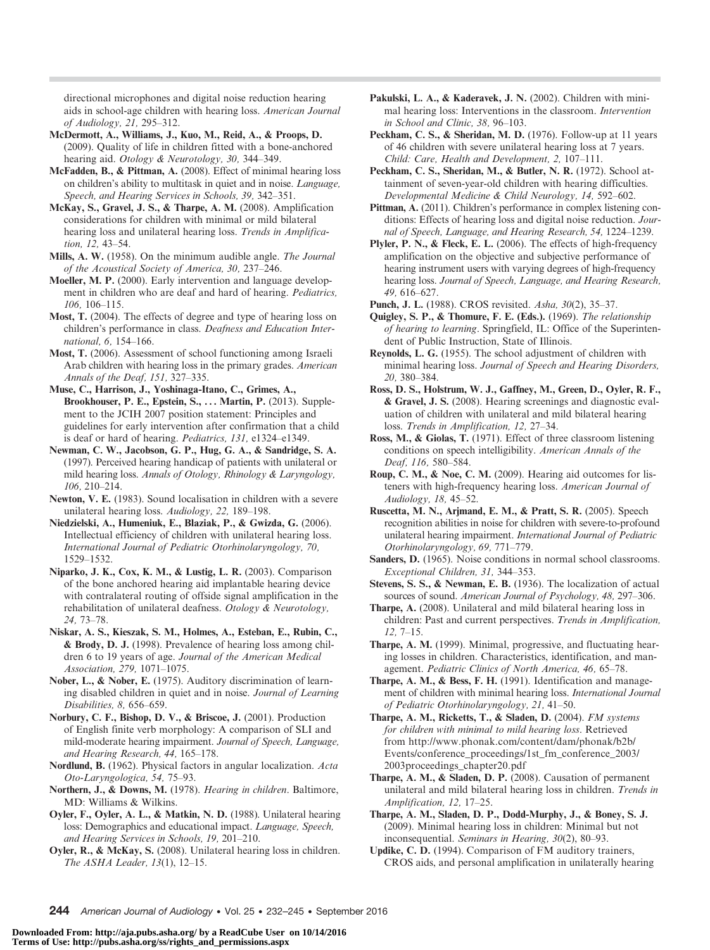directional microphones and digital noise reduction hearing aids in school-age children with hearing loss. American Journal of Audiology, 21, 295–312.

- McDermott, A., Williams, J., Kuo, M., Reid, A., & Proops, D. (2009). Quality of life in children fitted with a bone-anchored hearing aid. Otology & Neurotology, 30, 344-349.
- McFadden, B., & Pittman, A. (2008). Effect of minimal hearing loss on children's ability to multitask in quiet and in noise. Language, Speech, and Hearing Services in Schools, 39, 342–351.
- McKay, S., Gravel, J. S., & Tharpe, A. M. (2008). Amplification considerations for children with minimal or mild bilateral hearing loss and unilateral hearing loss. Trends in Amplification, 12, 43–54.
- Mills, A. W. (1958). On the minimum audible angle. The Journal of the Acoustical Society of America, 30, 237–246.
- Moeller, M. P. (2000). Early intervention and language development in children who are deaf and hard of hearing. Pediatrics, 106, 106–115.
- Most, T. (2004). The effects of degree and type of hearing loss on children's performance in class. Deafness and Education International, 6, 154–166.
- Most, T. (2006). Assessment of school functioning among Israeli Arab children with hearing loss in the primary grades. American Annals of the Deaf, 151, 327–335.
- Muse, C., Harrison, J., Yoshinaga-Itano, C., Grimes, A., Brookhouser, P. E., Epstein, S., ... Martin, P. (2013). Supplement to the JCIH 2007 position statement: Principles and guidelines for early intervention after confirmation that a child is deaf or hard of hearing. Pediatrics, 131, e1324–e1349.
- Newman, C. W., Jacobson, G. P., Hug, G. A., & Sandridge, S. A. (1997). Perceived hearing handicap of patients with unilateral or mild hearing loss. Annals of Otology, Rhinology & Laryngology, 106, 210–214.
- Newton, V. E. (1983). Sound localisation in children with a severe unilateral hearing loss. Audiology, 22, 189–198.
- Niedzielski, A., Humeniuk, E., Blaziak, P., & Gwizda, G. (2006). Intellectual efficiency of children with unilateral hearing loss. International Journal of Pediatric Otorhinolaryngology, 70, 1529–1532.
- Niparko, J. K., Cox, K. M., & Lustig, L. R. (2003). Comparison of the bone anchored hearing aid implantable hearing device with contralateral routing of offside signal amplification in the rehabilitation of unilateral deafness. Otology & Neurotology, 24, 73–78.
- Niskar, A. S., Kieszak, S. M., Holmes, A., Esteban, E., Rubin, C., & Brody, D. J. (1998). Prevalence of hearing loss among children 6 to 19 years of age. Journal of the American Medical Association, 279, 1071–1075.

Nober, L., & Nober, E. (1975). Auditory discrimination of learning disabled children in quiet and in noise. Journal of Learning Disabilities, 8, 656–659.

Norbury, C. F., Bishop, D. V., & Briscoe, J. (2001). Production of English finite verb morphology: A comparison of SLI and mild-moderate hearing impairment. Journal of Speech, Language, and Hearing Research, 44, 165–178.

- Nordlund, B. (1962). Physical factors in angular localization. Acta Oto-Laryngologica, 54, 75–93.
- Northern, J., & Downs, M. (1978). Hearing in children. Baltimore, MD: Williams & Wilkins.
- Oyler, F., Oyler, A. L., & Matkin, N. D. (1988). Unilateral hearing loss: Demographics and educational impact. Language, Speech, and Hearing Services in Schools, 19, 201–210.
- Oyler, R., & McKay, S. (2008). Unilateral hearing loss in children. The ASHA Leader, 13(1), 12–15.
- Pakulski, L. A., & Kaderavek, J. N. (2002). Children with minimal hearing loss: Interventions in the classroom. Intervention in School and Clinic, 38, 96–103.
- Peckham, C. S., & Sheridan, M. D. (1976). Follow-up at 11 years of 46 children with severe unilateral hearing loss at 7 years. Child: Care, Health and Development, 2, 107–111.
- Peckham, C. S., Sheridan, M., & Butler, N. R. (1972). School attainment of seven-year-old children with hearing difficulties. Developmental Medicine & Child Neurology, 14, 592–602.
- Pittman, A. (2011). Children's performance in complex listening conditions: Effects of hearing loss and digital noise reduction. Journal of Speech, Language, and Hearing Research, 54, 1224–1239.
- Plyler, P. N., & Fleck, E. L. (2006). The effects of high-frequency amplification on the objective and subjective performance of hearing instrument users with varying degrees of high-frequency hearing loss. Journal of Speech, Language, and Hearing Research, 49, 616–627.
- Punch, J. L. (1988). CROS revisited. Asha, 30(2), 35–37.
- Quigley, S. P., & Thomure, F. E. (Eds.). (1969). The relationship of hearing to learning. Springfield, IL: Office of the Superintendent of Public Instruction, State of Illinois.
- Reynolds, L. G. (1955). The school adjustment of children with minimal hearing loss. Journal of Speech and Hearing Disorders, 20, 380–384.
- Ross, D. S., Holstrum, W. J., Gaffney, M., Green, D., Oyler, R. F., & Gravel, J. S. (2008). Hearing screenings and diagnostic evaluation of children with unilateral and mild bilateral hearing loss. Trends in Amplification, 12, 27–34.
- Ross, M., & Giolas, T. (1971). Effect of three classroom listening conditions on speech intelligibility. American Annals of the Deaf, 116, 580–584.
- Roup, C. M., & Noe, C. M. (2009). Hearing aid outcomes for listeners with high-frequency hearing loss. American Journal of Audiology, 18, 45–52.
- Ruscetta, M. N., Arjmand, E. M., & Pratt, S. R. (2005). Speech recognition abilities in noise for children with severe-to-profound unilateral hearing impairment. International Journal of Pediatric Otorhinolaryngology, 69, 771–779.
- Sanders, D. (1965). Noise conditions in normal school classrooms. Exceptional Children, 31, 344–353.
- Stevens, S. S., & Newman, E. B. (1936). The localization of actual sources of sound. American Journal of Psychology, 48, 297–306.
- Tharpe, A. (2008). Unilateral and mild bilateral hearing loss in children: Past and current perspectives. Trends in Amplification, 12, 7–15.
- Tharpe, A. M. (1999). Minimal, progressive, and fluctuating hearing losses in children. Characteristics, identification, and management. Pediatric Clinics of North America, 46, 65–78.
- Tharpe, A. M., & Bess, F. H. (1991). Identification and management of children with minimal hearing loss. International Journal of Pediatric Otorhinolaryngology, 21, 41–50.
- Tharpe, A. M., Ricketts, T., & Sladen, D. (2004). FM systems for children with minimal to mild hearing loss. Retrieved from http://www.phonak.com/content/dam/phonak/b2b/ Events/conference\_proceedings/1st\_fm\_conference\_2003/ 2003proceedings\_chapter20.pdf
- Tharpe, A. M., & Sladen, D. P. (2008). Causation of permanent unilateral and mild bilateral hearing loss in children. Trends in Amplification, 12, 17–25.
- Tharpe, A. M., Sladen, D. P., Dodd-Murphy, J., & Boney, S. J. (2009). Minimal hearing loss in children: Minimal but not inconsequential. Seminars in Hearing, 30(2), 80–93.
- Updike, C. D. (1994). Comparison of FM auditory trainers, CROS aids, and personal amplification in unilaterally hearing